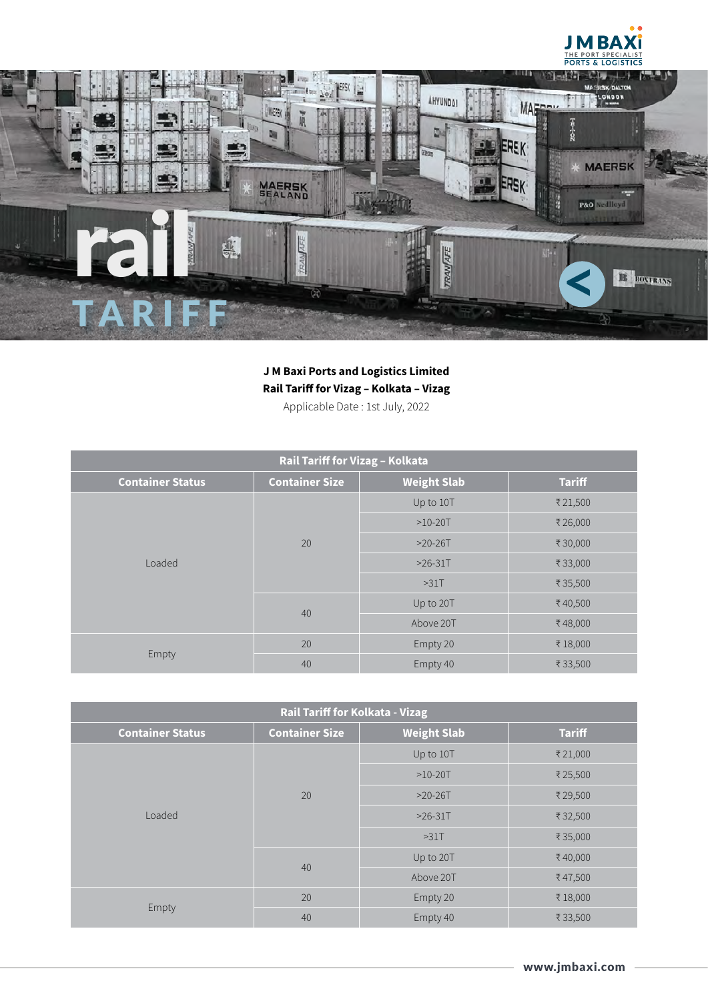



## **J M Baxi Ports and Logistics Limited Rail Tariff for Vizag – Kolkata – Vizag**

Applicable Date : 1st July, 2022

| Rail Tariff for Vizag - Kolkata |                       |                    |               |  |
|---------------------------------|-----------------------|--------------------|---------------|--|
| <b>Container Status</b>         | <b>Container Size</b> | <b>Weight Slab</b> | <b>Tariff</b> |  |
| Loaded                          | 20                    | Up to 10T          | ₹21,500       |  |
|                                 |                       | $>10-20T$          | ₹26,000       |  |
|                                 |                       | $>20-26T$          | ₹30,000       |  |
|                                 |                       | $>26-31T$          | ₹33,000       |  |
|                                 |                       | $>31$ T            | ₹ 35,500      |  |
|                                 | 40                    | Up to 20T          | ₹40,500       |  |
|                                 |                       | Above 20T          | ₹48,000       |  |
| Empty                           | 20                    | Empty 20           | ₹18,000       |  |
|                                 | 40                    | Empty 40           | ₹33,500       |  |

| <b>Rail Tariff for Kolkata - Vizag</b> |                       |                    |               |  |
|----------------------------------------|-----------------------|--------------------|---------------|--|
| <b>Container Status</b>                | <b>Container Size</b> | <b>Weight Slab</b> | <b>Tariff</b> |  |
| Loaded                                 | 20                    | Up to 10T          | ₹21,000       |  |
|                                        |                       | $>10-20T$          | ₹25,500       |  |
|                                        |                       | $>20-26T$          | ₹29,500       |  |
|                                        |                       | $>26-31T$          | ₹ 32,500      |  |
|                                        |                       | $>31$ T            | ₹ 35,000      |  |
|                                        | 40                    | Up to 20T          | ₹40,000       |  |
|                                        |                       | Above 20T          | ₹47,500       |  |
| Empty                                  | 20                    | Empty 20           | ₹18,000       |  |
|                                        | 40                    | Empty 40           | ₹33,500       |  |